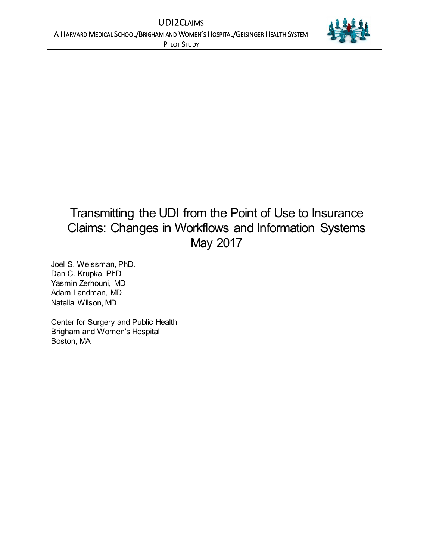

# Transmitting the UDI from the Point of Use to Insurance Claims: Changes in Workflows and Information Systems May 2017

Joel S. Weissman, PhD. Dan C. Krupka, PhD Yasmin Zerhouni, MD Adam Landman, MD Natalia Wilson, MD

Center for Surgery and Public Health Brigham and Women's Hospital Boston, MA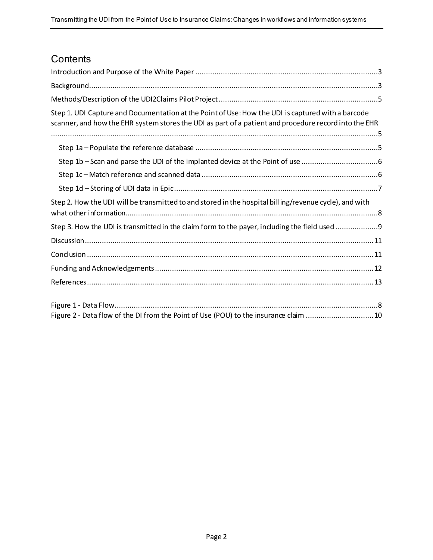# **Contents**

| Step 1. UDI Capture and Documentation at the Point of Use: How the UDI is captured with a barcode<br>scanner, and how the EHR system stores the UDI as part of a patient and procedure record into the EHR |
|------------------------------------------------------------------------------------------------------------------------------------------------------------------------------------------------------------|
|                                                                                                                                                                                                            |
|                                                                                                                                                                                                            |
|                                                                                                                                                                                                            |
|                                                                                                                                                                                                            |
|                                                                                                                                                                                                            |
| Step 2. How the UDI will be transmitted to and stored in the hospital billing/revenue cycle), and with                                                                                                     |
| Step 3. How the UDI is transmitted in the claim form to the payer, including the field used 9                                                                                                              |
|                                                                                                                                                                                                            |
|                                                                                                                                                                                                            |
|                                                                                                                                                                                                            |
|                                                                                                                                                                                                            |
|                                                                                                                                                                                                            |
|                                                                                                                                                                                                            |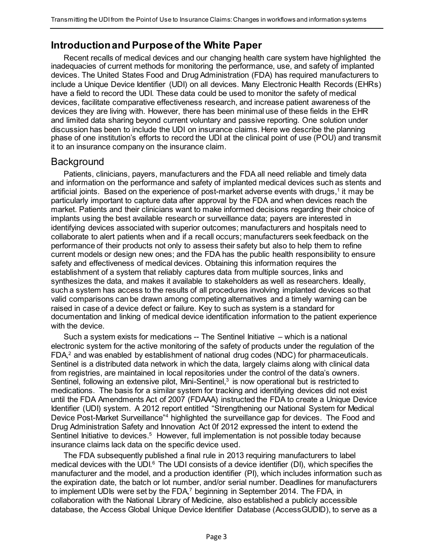# <span id="page-2-0"></span>**Introduction and Purpose of the White Paper**

Recent recalls of medical devices and our changing health care system have highlighted the inadequacies of current methods for monitoring the performance, use, and safety of implanted devices. The United States Food and Drug Administration (FDA) has required manufacturers to include a Unique Device Identifier (UDI) on all devices. Many Electronic Health Records (EHRs) have a field to record the UDI. These data could be used to monitor the safety of medical devices, facilitate comparative effectiveness research, and increase patient awareness of the devices they are living with. However, there has been minimal use of these fields in the EHR and limited data sharing beyond current voluntary and passive reporting. One solution under discussion has been to include the UDI on insurance claims. Here we describe the planning phase of one institution's efforts to record the UDI at the clinical point of use (POU) and transmit it to an insurance company on the insurance claim.

#### <span id="page-2-1"></span>**Background**

Patients, clinicians, payers, manufacturers and the FDA all need reliable and timely data and information on the performance and safety of implanted medical devices such as stents and artificial joints. Based on the experience of post-market adverse events with drugs,<sup>1</sup> it may be particularly important to capture data after approval by the FDA and when devices reach the market. Patients and their clinicians want to make informed decisions regarding their choice of implants using the best available research or surveillance data; payers are interested in identifying devices associated with superior outcomes; manufacturers and hospitals need to collaborate to alert patients when and if a recall occurs; manufacturers seek feedback on the performance of their products not only to assess their safety but also to help them to refine current models or design new ones; and the FDA has the public health responsibility to ensure safety and effectiveness of medical devices. Obtaining this information requires the establishment of a system that reliably captures data from multiple sources, links and synthesizes the data, and makes it available to stakeholders as well as researchers. Ideally, such a system has access to the results of all procedures involving implanted devices so that valid comparisons can be drawn among competing alternatives and a timely warning can be raised in case of a device defect or failure. Key to such as system is a standard for documentation and linking of medical device identification information to the patient experience with the device.

Such a system exists for medications -- The Sentinel Initiative – which is a national electronic system for the active monitoring of the safety of products under the regulation of the FDA,<sup>2</sup> and was enabled by establishment of national drug codes (NDC) for pharmaceuticals. Sentinel is a distributed data network in which the data, largely claims along with clinical data from registries, are maintained in local repositories under the control of the data's owners. Sentinel, following an extensive pilot, Mini-Sentinel,<sup>3</sup> is now operational but is restricted to medications. The basis for a similar system for tracking and identifying devices did not exist until the FDA Amendments Act of 2007 (FDAAA) instructed the FDA to create a Unique Device Identifier (UDI) system. A 2012 report entitled "Strengthening our National System for Medical Device Post-Market Surveillance"<sup>4</sup> highlighted the surveillance gap for devices. The Food and Drug Administration Safety and Innovation Act 0f 2012 expressed the intent to extend the Sentinel Initiative to devices.<sup>5</sup> However, full implementation is not possible today because insurance claims lack data on the specific device used.

The FDA subsequently published a final rule in 2013 requiring manufacturers to label medical devices with the UDI. $<sup>6</sup>$  The UDI consists of a device identifier (DI), which specifies the</sup> manufacturer and the model, and a production identifier (PI), which includes information such as the expiration date, the batch or lot number, and/or serial number. Deadlines for manufacturers to implement UDIs were set by the FDA,<sup>7</sup> beginning in September 2014. The FDA, in collaboration with the National Library of Medicine, also established a publicly accessible database, the Access Global Unique Device Identifier Database (AccessGUDID), to serve as a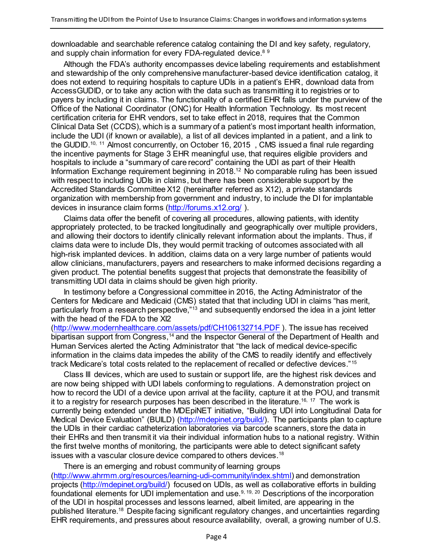downloadable and searchable reference catalog containing the DI and key safety, regulatory, and supply chain information for every FDA-regulated device.<sup>89</sup>

Although the FDA's authority encompasses device labeling requirements and establishment and stewardship of the only comprehensive manufacturer-based device identification catalog, it does not extend to requiring hospitals to capture UDIs in a patient's EHR, download data from AccessGUDID, or to take any action with the data such as transmitting it to registries or to payers by including it in claims. The functionality of a certified EHR falls under the purview of the Office of the National Coordinator (ONC) for Health Information Technology. Its most recent certification criteria for EHR vendors, set to take effect in 2018, requires that the Common Clinical Data Set (CCDS), which is a summary of a patient's most important health information, include the UDI (if known or available), a list of all devices implanted in a patient, and a link to the GUDID.<sup>10, 11</sup> Almost concurrently, on October 16, 2015, CMS issued a final rule regarding the incentive payments for Stage 3 EHR meaningful use, that requires eligible providers and hospitals to include a "summary of care record" containing the UDI as part of their Health Information Exchange requirement beginning in 2018. <sup>12</sup> No comparable ruling has been issued with respect to including UDIs in claims, but there has been considerable support by the Accredited Standards Committee X12 (hereinafter referred as X12), a private standards organization with membership from government and industry, to include the DI for implantable devices in insurance claim forms [\(http://forums.x12.org/](http://forums.x12.org/) ).

Claims data offer the benefit of covering all procedures, allowing patients, with identity appropriately protected, to be tracked longitudinally and geographically over multiple providers, and allowing their doctors to identify clinically relevant information about the implants. Thus, if claims data were to include DIs, they would permit tracking of outcomes associated with all high-risk implanted devices. In addition, claims data on a very large number of patients would allow clinicians, manufacturers, payers and researchers to make informed decisions regarding a given product. The potential benefits suggest that projects that demonstrate the feasibility of transmitting UDI data in claims should be given high priority.

In testimony before a Congressional committee in 2016, the Acting Administrator of the Centers for Medicare and Medicaid (CMS) stated that that including UDI in claims "has merit, particularly from a research perspective,"<sup>13</sup> and subsequently endorsed the idea in a joint letter with the head of the FDA to the XI2

[\(http://www.modernhealthcare.com/assets/pdf/CH106132714.PDF](http://www.modernhealthcare.com/assets/pdf/CH106132714.PDF) ). The issue has received bipartisan support from Congress,<sup>14</sup> and the Inspector General of the Department of Health and Human Services alerted the Acting Administrator that "the lack of medical device-specific information in the claims data impedes the ability of the CMS to readily identify and effectively track Medicare's total costs related to the replacement of recalled or defective devices."<sup>15</sup>

Class III devices, which are used to sustain or support life, are the highest risk devices and are now being shipped with UDI labels conforming to regulations. A demonstration project on how to record the UDI of a device upon arrival at the facility, capture it at the POU, and transmit it to a registry for research purposes has been described in the literature.<sup>16, 17</sup> The work is currently being extended under the MDEpiNET initiative, "Building UDI into Longitudinal Data for Medical Device Evaluation" (BUILD) [\(http://mdepinet.org/build/\).](http://mdepinet.org/build/) The participants plan to capture the UDIs in their cardiac catheterization laboratories via barcode scanners, store the data in their EHRs and then transmit it via their individual information hubs to a national registry. Within the first twelve months of monitoring, the participants were able to detect significant safety issues with a vascular closure device compared to others devices.<sup>18</sup>

There is an emerging and robust community of learning groups [\(http://www.ahrmm.org/resources/learning-udi-community/index.shtml\)](http://www.ahrmm.org/resources/learning-udi-community/index.shtml) and demonstration projects [\(http://mdepinet.org/build/\)](http://mdepinet.org/build/) focused on UDIs, as well as collaborative efforts in building foundational elements for UDI implementation and use.<sup>9, 19, 20</sup> Descriptions of the incorporation of the UDI in hospital processes and lessons learned, albeit limited, are appearing in the published literature.<sup>18</sup> Despite facing significant regulatory changes, and uncertainties regarding EHR requirements, and pressures about resource availability, overall, a growing number of U.S.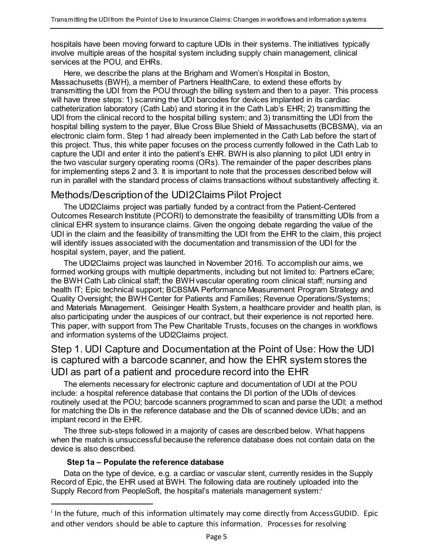hospitals have been moving forward to capture UDIs in their systems. The initiatives typically involve multiple areas of the hospital system including supply chain management, clinical services at the POU, and EHRs.

Here, we describe the plans at the Brigham and Women's Hospital in Boston, Massachusetts (BWH), a member of Partners HealthCare, to extend these efforts by transmitting the UDI from the POU through the billing system and then to a payer. This process will have three steps: 1) scanning the UDI barcodes for devices implanted in its cardiac catheterization laboratory (Cath Lab) and storing it in the Cath Lab's EHR; 2) transmitting the UDI from the clinical record to the hospital billing system; and 3) transmitting the UDI from the hospital billing system to the payer, Blue Cross Blue Shield of Massachusetts (BCBSMA), via an electronic claim form. Step 1 had already been implemented in the Cath Lab before the start of this project. Thus, this white paper focuses on the process currently followed in the Cath Lab to capture the UDI and enter it into the patient's EHR. BWH is also planning to pilot UDI entry in the two vascular surgery operating rooms (ORs). The remainder of the paper describes plans for implementing steps 2 and 3. It is important to note that the processes described below will run in parallel with the standard process of claims transactions without substantively affecting it.

## <span id="page-4-0"></span>Methods/Description of the UDI2Claims Pilot Project

The UDI2Claims project was partially funded by a contract from the Patient-Centered Outcomes Research Institute (PCORI) to demonstrate the feasibility of transmitting UDIs from a clinical EHR system to insurance claims. Given the ongoing debate regarding the value of the UDI in the claim and the feasibility of transmitting the UDI from the EHR to the claim, this project will identify issues associated with the documentation and transmission of the UDI for the hospital system, payer, and the patient.

The UDI2Claims project was launched in November 2016. To accomplish our aims, we formed working groups with multiple departments, including but not limited to: Partners eCare; the BWH Cath Lab clinical staff; the BWH vascular operating room clinical staff; nursing and health IT; Epic technical support; BCBSMA Performance Measurement Program Strategy and Quality Oversight; the BWH Center for Patients and Families; Revenue Operations/Systems; and Materials Management. Geisinger Health System, a healthcare provider and health plan, is also participating under the auspices of our contract, but their experience is not reported here. This paper, with support from The Pew Charitable Trusts, focuses on the changes in workflows and information systems of the UDI2Claims project.

# <span id="page-4-1"></span>Step 1. UDI Capture and Documentation at the Point of Use: How the UDI is captured with a barcode scanner, and how the EHR system stores the UDI as part of a patient and procedure record into the EHR

The elements necessary for electronic capture and documentation of UDI at the POU include: a hospital reference database that contains the DI portion of the UDIs of devices routinely used at the POU; barcode scanners programmed to scan and parse the UDI; a method for matching the DIs in the reference database and the DIs of scanned device UDIs; and an implant record in the EHR.

The three sub-steps followed in a majority of cases are described below. What happens when the match is unsuccessful because the reference database does not contain data on the device is also described.

#### **Step 1a – Populate the reference database**

 $\ddot{\phantom{a}}$ 

<span id="page-4-2"></span>Data on the type of device, e.g. a cardiac or vascular stent, currently resides in the Supply Record of Epic, the EHR used at BWH. The following data are routinely uploaded into the Supply Record from PeopleSoft, the hospital's materials management system:

<sup>&</sup>lt;sup>i</sup> In the future, much of this information ultimately may come directly from AccessGUDID. Epic and other vendors should be able to capture this information. Processes for resolving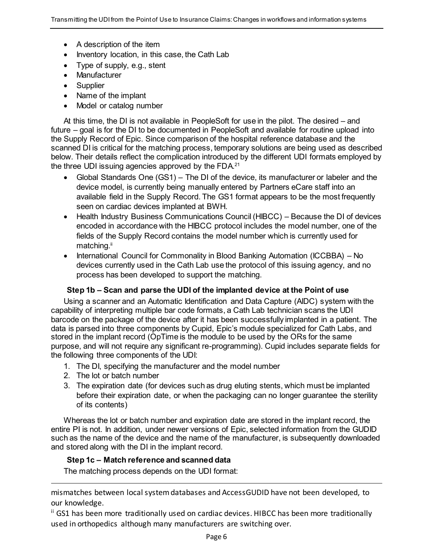- A description of the item
- Inventory location, in this case, the Cath Lab
- Type of supply, e.g., stent
- Manufacturer
- Supplier
- Name of the implant
- Model or catalog number

At this time, the DI is not available in PeopleSoft for use in the pilot. The desired – and future – goal is for the DI to be documented in PeopleSoft and available for routine upload into the Supply Record of Epic. Since comparison of the hospital reference database and the scanned DI is critical for the matching process, temporary solutions are being used as described below. Their details reflect the complication introduced by the different UDI formats employed by the three UDI issuing agencies approved by the FDA.<sup>21</sup>

- Global Standards One (GS1) The DI of the device, its manufacturer or labeler and the device model, is currently being manually entered by Partners eCare staff into an available field in the Supply Record. The GS1 format appears to be the most frequently seen on cardiac devices implanted at BWH.
- Health Industry Business Communications Council (HIBCC) Because the DI of devices encoded in accordance with the HIBCC protocol includes the model number, one of the fields of the Supply Record contains the model number which is currently used for matching.<sup>ii</sup>
- International Council for Commonality in Blood Banking Automation (ICCBBA) No devices currently used in the Cath Lab use the protocol of this issuing agency, and no process has been developed to support the matching.

#### **Step 1b – Scan and parse the UDI of the implanted device at the Point of use**

<span id="page-5-0"></span>Using a scanner and an Automatic Identification and Data Capture (AIDC) system with the capability of interpreting multiple bar code formats, a Cath Lab technician scans the UDI barcode on the package of the device after it has been successfully implanted in a patient. The data is parsed into three components by Cupid, Epic's module specialized for Cath Labs, and stored in the implant record (OpTime is the module to be used by the ORs for the same purpose, and will not require any significant re-programming). Cupid includes separate fields for the following three components of the UDI:

- 1. The DI, specifying the manufacturer and the model number
- 2. The lot or batch number

 $\ddot{\phantom{a}}$ 

3. The expiration date (for devices such as drug eluting stents, which must be implanted before their expiration date, or when the packaging can no longer guarantee the sterility of its contents)

Whereas the lot or batch number and expiration date are stored in the implant record, the entire PI is not. In addition, under newer versions of Epic, selected information from the GUDID such as the name of the device and the name of the manufacturer, is subsequently downloaded and stored along with the DI in the implant record.

#### <span id="page-5-1"></span>**Step 1c – Match reference and scanned data**

The matching process depends on the UDI format:

mismatches between local system databases and AccessGUDID have not been developed, to our knowledge.

ii GS1 has been more traditionally used on cardiac devices. HIBCC has been more traditionally used in orthopedics although many manufacturers are switching over.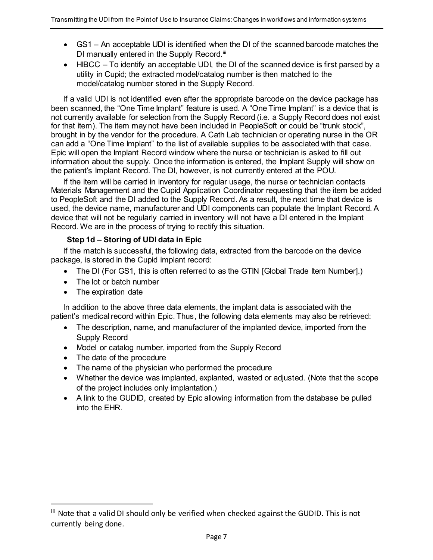- GS1 An acceptable UDI is identified when the DI of the scanned barcode matches the DI manually entered in the Supply Record.<sup>iii</sup>
- HIBCC To identify an acceptable UDI, the DI of the scanned device is first parsed by a utility in Cupid; the extracted model/catalog number is then matched to the model/catalog number stored in the Supply Record.

If a valid UDI is not identified even after the appropriate barcode on the device package has been scanned, the "One Time Implant" feature is used. A "One Time Implant" is a device that is not currently available for selection from the Supply Record (i.e. a Supply Record does not exist for that item). The item may not have been included in PeopleSoft or could be "trunk stock", brought in by the vendor for the procedure. A Cath Lab technician or operating nurse in the OR can add a "One Time Implant" to the list of available supplies to be associated with that case. Epic will open the Implant Record window where the nurse or technician is asked to fill out information about the supply. Once the information is entered, the Implant Supply will show on the patient's Implant Record. The DI, however, is not currently entered at the POU.

If the item will be carried in inventory for regular usage, the nurse or technician contacts Materials Management and the Cupid Application Coordinator requesting that the item be added to PeopleSoft and the DI added to the Supply Record. As a result, the next time that device is used, the device name, manufacturer and UDI components can populate the Implant Record. A device that will not be regularly carried in inventory will not have a DI entered in the Implant Record. We are in the process of trying to rectify this situation.

#### **Step 1d – Storing of UDI data in Epic**

<span id="page-6-0"></span>If the match is successful, the following data, extracted from the barcode on the device package, is stored in the Cupid implant record:

- The DI (For GS1, this is often referred to as the GTIN [Global Trade Item Number].)
- The lot or batch number
- The expiration date

In addition to the above three data elements, the implant data is associated with the patient's medical record within Epic. Thus, the following data elements may also be retrieved:

- The description, name, and manufacturer of the implanted device, imported from the Supply Record
- Model or catalog number, imported from the Supply Record
- The date of the procedure

 $\ddot{\phantom{a}}$ 

- The name of the physician who performed the procedure
- Whether the device was implanted, explanted, wasted or adjusted. (Note that the scope of the project includes only implantation.)
- A link to the GUDID, created by Epic allowing information from the database be pulled into the EHR.

iii Note that a valid DI should only be verified when checked against the GUDID. This is not currently being done.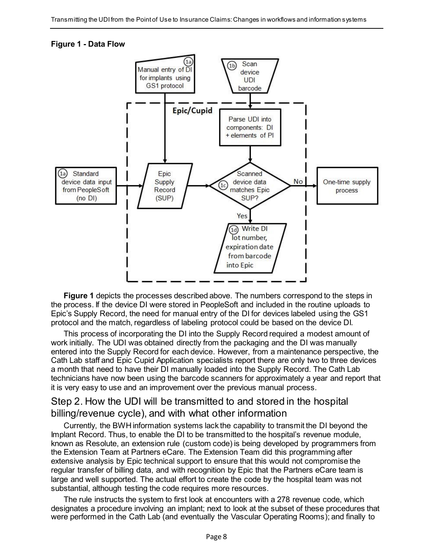#### <span id="page-7-1"></span>**Figure 1 - Data Flow**



**Figure 1** depicts the processes described above. The numbers correspond to the steps in the process. If the device DI were stored in PeopleSoft and included in the routine uploads to Epic's Supply Record, the need for manual entry of the DI for devices labeled using the GS1 protocol and the match, regardless of labeling protocol could be based on the device DI.

This process of incorporating the DI into the Supply Record required a modest amount of work initially. The UDI was obtained directly from the packaging and the DI was manually entered into the Supply Record for each device. However, from a maintenance perspective, the Cath Lab staff and Epic Cupid Application specialists report there are only two to three devices a month that need to have their DI manually loaded into the Supply Record. The Cath Lab technicians have now been using the barcode scanners for approximately a year and report that it is very easy to use and an improvement over the previous manual process.

# <span id="page-7-0"></span>Step 2. How the UDI will be transmitted to and stored in the hospital billing/revenue cycle), and with what other information

Currently, the BWH information systems lack the capability to transmit the DI beyond the Implant Record. Thus, to enable the DI to be transmitted to the hospital's revenue module, known as Resolute, an extension rule (custom code) is being developed by programmers from the Extension Team at Partners eCare. The Extension Team did this programming after extensive analysis by Epic technical support to ensure that this would not compromise the regular transfer of billing data, and with recognition by Epic that the Partners eCare team is large and well supported. The actual effort to create the code by the hospital team was not substantial, although testing the code requires more resources.

The rule instructs the system to first look at encounters with a 278 revenue code, which designates a procedure involving an implant; next to look at the subset of these procedures that were performed in the Cath Lab (and eventually the Vascular Operating Rooms); and finally to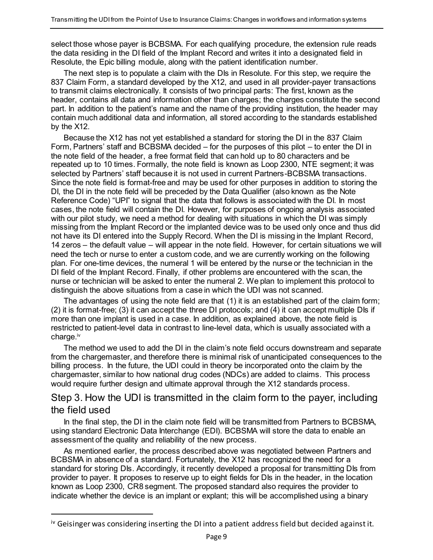select those whose payer is BCBSMA. For each qualifying procedure, the extension rule reads the data residing in the DI field of the Implant Record and writes it into a designated field in Resolute, the Epic billing module, along with the patient identification number.

The next step is to populate a claim with the DIs in Resolute. For this step, we require the 837 Claim Form, a standard developed by the X12, and used in all provider-payer transactions to transmit claims electronically. It consists of two principal parts: The first, known as the header, contains all data and information other than charges; the charges constitute the second part. In addition to the patient's name and the name of the providing institution, the header may contain much additional data and information, all stored according to the standards established by the X12.

Because the X12 has not yet established a standard for storing the DI in the 837 Claim Form, Partners' staff and BCBSMA decided – for the purposes of this pilot – to enter the DI in the note field of the header, a free format field that can hold up to 80 characters and be repeated up to 10 times. Formally, the note field is known as Loop 2300, NTE segment; it was selected by Partners' staff because it is not used in current Partners-BCBSMA transactions. Since the note field is format-free and may be used for other purposes in addition to storing the DI, the DI in the note field will be preceded by the Data Qualifier (also known as the Note Reference Code) "UPI" to signal that the data that follows is associated with the DI. In most cases, the note field will contain the DI. However, for purposes of ongoing analysis associated with our pilot study, we need a method for dealing with situations in which the DI was simply missing from the Implant Record or the implanted device was to be used only once and thus did not have its DI entered into the Supply Record. When the DI is missing in the Implant Record, 14 zeros – the default value – will appear in the note field. However, for certain situations we will need the tech or nurse to enter a custom code, and we are currently working on the following plan. For one-time devices, the numeral 1 will be entered by the nurse or the technician in the DI field of the Implant Record. Finally, if other problems are encountered with the scan, the nurse or technician will be asked to enter the numeral 2. We plan to implement this protocol to distinguish the above situations from a case in which the UDI was not scanned.

The advantages of using the note field are that (1) it is an established part of the claim form; (2) it is format-free; (3) it can accept the three DI protocols; and (4) it can accept multiple DIs if more than one implant is used in a case. In addition, as explained above, the note field is restricted to patient-level data in contrast to line-level data, which is usually associated with a charge. iv

The method we used to add the DI in the claim's note field occurs downstream and separate from the chargemaster, and therefore there is minimal risk of unanticipated consequences to the billing process. In the future, the UDI could in theory be incorporated onto the claim by the chargemaster, similar to how national drug codes (NDCs) are added to claims. This process would require further design and ultimate approval through the X12 standards process.

# <span id="page-8-0"></span>Step 3. How the UDI is transmitted in the claim form to the payer, including the field used

In the final step, the DI in the claim note field will be transmitted from Partners to BCBSMA, using standard Electronic Data Interchange (EDI). BCBSMA will store the data to enable an assessment of the quality and reliability of the new process.

As mentioned earlier, the process described above was negotiated between Partners and BCBSMA in absence of a standard. Fortunately, the X12 has recognized the need for a standard for storing DIs. Accordingly, it recently developed a proposal for transmitting DIs from provider to payer. It proposes to reserve up to eight fields for DIs in the header, in the location known as Loop 2300, CR8 segment. The proposed standard also requires the provider to indicate whether the device is an implant or explant; this will be accomplished using a binary

 $\ddot{\phantom{a}}$ 

<sup>&</sup>lt;sup>iv</sup> Geisinger was considering inserting the DI into a patient address field but decided against it.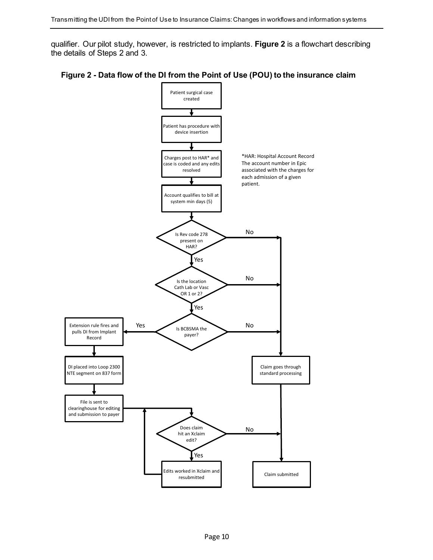qualifier. Our pilot study, however, is restricted to implants. **Figure 2** is a flowchart describing the details of Steps 2 and 3.



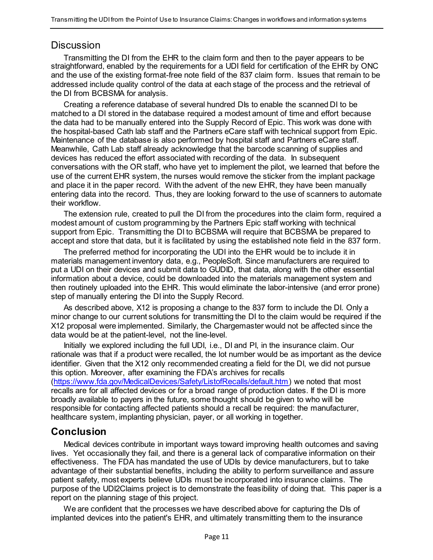#### <span id="page-10-0"></span>**Discussion**

Transmitting the DI from the EHR to the claim form and then to the payer appears to be straightforward, enabled by the requirements for a UDI field for certification of the EHR by ONC and the use of the existing format-free note field of the 837 claim form. Issues that remain to be addressed include quality control of the data at each stage of the process and the retrieval of the DI from BCBSMA for analysis.

Creating a reference database of several hundred DIs to enable the scanned DI to be matched to a DI stored in the database required a modest amount of time and effort because the data had to be manually entered into the Supply Record of Epic. This work was done with the hospital-based Cath lab staff and the Partners eCare staff with technical support from Epic. Maintenance of the database is also performed by hospital staff and Partners eCare staff. Meanwhile, Cath Lab staff already acknowledge that the barcode scanning of supplies and devices has reduced the effort associated with recording of the data. In subsequent conversations with the OR staff, who have yet to implement the pilot, we learned that before the use of the current EHR system, the nurses would remove the sticker from the implant package and place it in the paper record. With the advent of the new EHR, they have been manually entering data into the record. Thus, they are looking forward to the use of scanners to automate their workflow.

The extension rule, created to pull the DI from the procedures into the claim form, required a modest amount of custom programming by the Partners Epic staff working with technical support from Epic. Transmitting the DI to BCBSMA will require that BCBSMA be prepared to accept and store that data, but it is facilitated by using the established note field in the 837 form.

The preferred method for incorporating the UDI into the EHR would be to include it in materials management inventory data, e.g., PeopleSoft. Since manufacturers are required to put a UDI on their devices and submit data to GUDID, that data, along with the other essential information about a device, could be downloaded into the materials management system and then routinely uploaded into the EHR. This would eliminate the labor-intensive (and error prone) step of manually entering the DI into the Supply Record.

As described above, X12 is proposing a change to the 837 form to include the DI. Only a minor change to our current solutions for transmitting the DI to the claim would be required if the X12 proposal were implemented. Similarly, the Chargemaster would not be affected since the data would be at the patient-level, not the line-level.

Initially we explored including the full UDI, i.e., DI and PI, in the insurance claim. Our rationale was that if a product were recalled, the lot number would be as important as the device identifier. Given that the X12 only recommended creating a field for the DI, we did not pursue this option. Moreover, after examining the FDA's archives for recalls

[\(https://www.fda.gov/MedicalDevices/Safety/ListofRecalls/default.htm\)](https://www.fda.gov/MedicalDevices/Safety/ListofRecalls/default.htm) we noted that most recalls are for all affected devices or for a broad range of production dates. If the DI is more broadly available to payers in the future, some thought should be given to who will be responsible for contacting affected patients should a recall be required: the manufacturer, healthcare system, implanting physician, payer, or all working in together.

## <span id="page-10-1"></span>**Conclusion**

Medical devices contribute in important ways toward improving health outcomes and saving lives. Yet occasionally they fail, and there is a general lack of comparative information on their effectiveness. The FDA has mandated the use of UDIs by device manufacturers, but to take advantage of their substantial benefits, including the ability to perform surveillance and assure patient safety, most experts believe UDIs must be incorporated into insurance claims. The purpose of the UDI2Claims project is to demonstrate the feasibility of doing that. This paper is a report on the planning stage of this project.

We are confident that the processes we have described above for capturing the DIs of implanted devices into the patient's EHR, and ultimately transmitting them to the insurance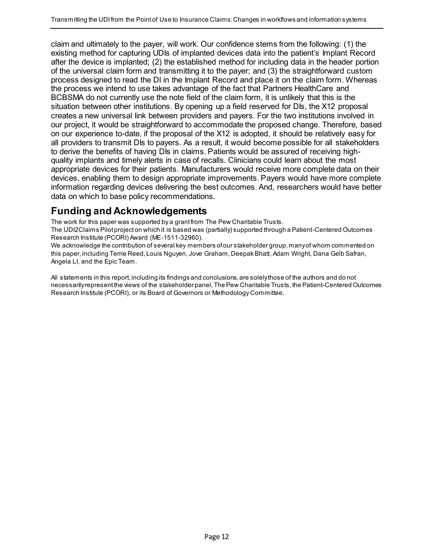claim and ultimately to the payer, will work. Our confidence stems from the following: (1) the existing method for capturing UDIs of implanted devices data into the patient's Implant Record after the device is implanted; (2) the established method for including data in the header portion of the universal claim form and transmitting it to the payer; and (3) the straightforward custom process designed to read the DI in the Implant Record and place it on the claim form. Whereas the process we intend to use takes advantage of the fact that Partners HealthCare and BCBSMA do not currently use the note field of the claim form, it is unlikely that this is the situation between other institutions. By opening up a field reserved for DIs, the X12 proposal creates a new universal link between providers and payers. For the two institutions involved in our project, it would be straightforward to accommodate the proposed change. Therefore, based on our experience to-date, if the proposal of the X12 is adopted, it should be relatively easy for all providers to transmit DIs to payers. As a result, it would become possible for all stakeholders to derive the benefits of having DIs in claims. Patients would be assured of receiving highquality implants and timely alerts in case of recalls. Clinicians could learn about the most appropriate devices for their patients. Manufacturers would receive more complete data on their devices, enabling them to design appropriate improvements. Payers would have more complete information regarding devices delivering the best outcomes. And, researchers would have better data on which to base policy recommendations.

# <span id="page-11-0"></span>**Funding and Acknowledgements**

The work for this paper was supported by a grant from The Pew Charitable Trusts.

The UDI2Claims Pilot project on which it is based was (partially) supported through a Patient-Centered Outcomes Research Institute (PCORI) Award (ME-1511-32960).

We acknowledge the contribution of several key members of our stakeholder group, many of whom commented on this paper, including Terrie Reed, Louis Nguyen, Jove Graham, Deepak Bhatt, Adam Wright, Dana Gelb Safran, Angela LI, and the Epic Team.

All statements in this report, including its findings and conclusions, are solely those of the authors and do not necessarily represent the views of the stakeholder panel, The Pew Charitable Trusts, the Patient-Centered Outcomes Research Institute (PCORI), or its Board of Governors or Methodology Committee.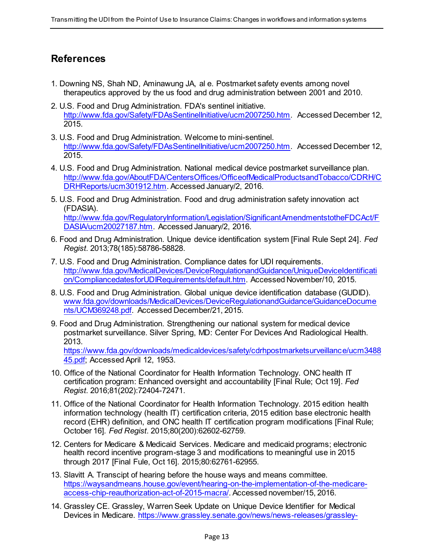# <span id="page-12-0"></span>**References**

- 1. Downing NS, Shah ND, Aminawung JA, al e. Postmarket safety events among novel therapeutics approved by the us food and drug administration between 2001 and 2010.
- 2. U.S. Food and Drug Administration. FDA's sentinel initiative. [http://www.fda.gov/Safety/FDAsSentinelInitiative/ucm2007250.htm.](http://www.fda.gov/Safety/FDAsSentinelInitiative/ucm2007250.htm) Accessed December 12, 2015.
- 3. U.S. Food and Drug Administration. Welcome to mini-sentinel. [http://www.fda.gov/Safety/FDAsSentinelInitiative/ucm2007250.htm.](http://www.fda.gov/Safety/FDAsSentinelInitiative/ucm2007250.htm) Accessed December 12, 2015.
- 4. U.S. Food and Drug Administration. National medical device postmarket surveillance plan. [http://www.fda.gov/AboutFDA/CentersOffices/OfficeofMedicalProductsandTobacco/CDRH/C](http://www.fda.gov/AboutFDA/CentersOffices/OfficeofMedicalProductsandTobacco/CDRH/CDRHReports/ucm301912.htm) [DRHReports/ucm301912.htm.](http://www.fda.gov/AboutFDA/CentersOffices/OfficeofMedicalProductsandTobacco/CDRH/CDRHReports/ucm301912.htm) Accessed January/2, 2016.
- 5. U.S. Food and Drug Administration. Food and drug administration safety innovation act (FDASIA). [http://www.fda.gov/RegulatoryInformation/Legislation/SignificantAmendmentstotheFDCAct/F](http://www.fda.gov/RegulatoryInformation/Legislation/SignificantAmendmentstotheFDCAct/FDASIA/ucm20027187.htm) [DASIA/ucm20027187.htm.](http://www.fda.gov/RegulatoryInformation/Legislation/SignificantAmendmentstotheFDCAct/FDASIA/ucm20027187.htm) Accessed January/2, 2016.
- 6. Food and Drug Administration. Unique device identification system [Final Rule Sept 24]*. Fed Regist*. 2013;78(185):58786-58828.
- 7. U.S. Food and Drug Administration. Compliance dates for UDI requirements. [http://www.fda.gov/MedicalDevices/DeviceRegulationandGuidance/UniqueDeviceIdentificati](http://www.fda.gov/MedicalDevices/DeviceRegulationandGuidance/UniqueDeviceIdentification/CompliancedatesforUDIRequirements/default.htm) [on/CompliancedatesforUDIRequirements/default.htm.](http://www.fda.gov/MedicalDevices/DeviceRegulationandGuidance/UniqueDeviceIdentification/CompliancedatesforUDIRequirements/default.htm) Accessed November/10, 2015.
- 8. U.S. Food and Drug Administration. Global unique device identification database (GUDID). [www.fda.gov/downloads/MedicalDevices/DeviceRegulationandGuidance/GuidanceDocume](http://www.fda.gov/downloads/MedicalDevices/DeviceRegulationandGuidance/GuidanceDocuments/UCM369248.pdf) [nts/UCM369248.pdf.](http://www.fda.gov/downloads/MedicalDevices/DeviceRegulationandGuidance/GuidanceDocuments/UCM369248.pdf) Accessed December/21, 2015.
- 9. Food and Drug Administration. Strengthening our national system for medical device postmarket surveillance. Silver Spring, MD: Center For Devices And Radiological Health. 2013. [https://www.fda.gov/downloads/medicaldevices/safety/cdrhpostmarketsurveillance/ucm3488](https://www.fda.gov/downloads/medicaldevices/safety/cdrhpostmarketsurveillance/ucm348845.pdf)

[45.pdf;](https://www.fda.gov/downloads/medicaldevices/safety/cdrhpostmarketsurveillance/ucm348845.pdf) Accessed April 12, 1953.

- 10. Office of the National Coordinator for Health Information Technology. ONC health IT certification program: Enhanced oversight and accountability [Final Rule; Oct 19]*. Fed Regist*. 2016;81(202):72404-72471.
- 11. Office of the National Coordinator for Health Information Technology. 2015 edition health information technology (health IT) certification criteria, 2015 edition base electronic health record (EHR) definition, and ONC health IT certification program modifications [Final Rule; October 16]*. Fed Regist*. 2015;80(200):62602-62759.
- 12. Centers for Medicare & Medicaid Services. Medicare and medicaid programs; electronic health record incentive program-stage 3 and modifications to meaningful use in 2015 through 2017 [Final Fule, Oct 16]. 2015;80:62761-62955.
- 13. Slavitt A. Transcipt of hearing before the house ways and means committee. [https://waysandmeans.house.gov/event/hearing-on-the-implementation-of-the-medicare](https://waysandmeans.house.gov/event/hearing-on-the-implementation-of-the-medicare-access-chip-reauthorization-act-of-2015-macra/)[access-chip-reauthorization-act-of-2015-macra/](https://waysandmeans.house.gov/event/hearing-on-the-implementation-of-the-medicare-access-chip-reauthorization-act-of-2015-macra/). Accessed november/15, 2016.
- 14. Grassley CE. Grassley, Warren Seek Update on Unique Device Identifier for Medical Devices in Medicare. [https://www.grassley.senate.gov/news/news-releases/grassley-](https://www.grassley.senate.gov/news/news-releases/grassley-warren-seek-update-unique-device-identifier-medical-devices-medicare)